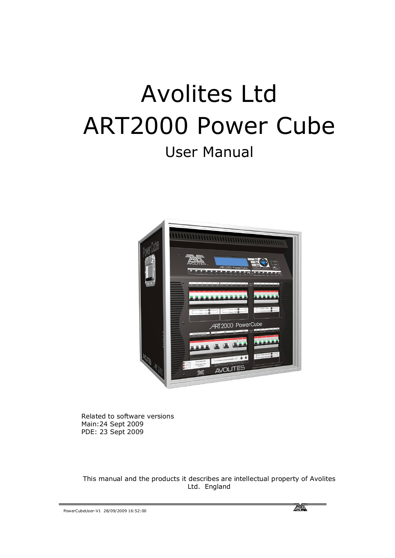# Avolites Ltd ART2000 Power Cube User Manual



Related to software versions Main:24 Sept 2009 PDE: 23 Sept 2009

This manual and the products it describes are intellectual property of Avolites Ltd. England

PowerCubeUser-V1 28/09/2009 16:52:00

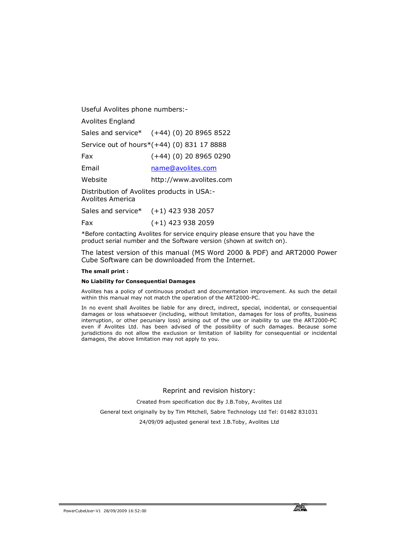Useful Avolites phone numbers:-

Avolites England

Sales and service\* (+44) (0) 20 8965 8522

Service out of hours\*(+44) (0) 831 17 8888

Fax (+44) (0) 20 8965 0290

Email name@avolites.com

Website http://www.avolites.com

Distribution of Avolites products in USA:-

Avolites America

|     | Sales and service* $(+1)$ 423 938 2057 |
|-----|----------------------------------------|
| Fax | $(+1)$ 423 938 2059                    |

\*Before contacting Avolites for service enquiry please ensure that you have the product serial number and the Software version (shown at switch on).

The latest version of this manual (MS Word 2000 & PDF) and ART2000 Power Cube Software can be downloaded from the Internet.

#### **The small print :**

#### **No Liability for Consequential Damages**

Avolites has a policy of continuous product and documentation improvement. As such the detail within this manual may not match the operation of the ART2000-PC.

In no event shall Avolites be liable for any direct, indirect, special, incidental, or consequential damages or loss whatsoever (including, without limitation, damages for loss of profits, business interruption, or other pecuniary loss) arising out of the use or inability to use the ART2000-PC even if Avolites Ltd. has been advised of the possibility of such damages. Because some jurisdictions do not allow the exclusion or limitation of liability for consequential or incidental damages, the above limitation may not apply to you.

Reprint and revision history:

Created from specification doc By J.B.Toby, Avolites Ltd

General text originally by by Tim Mitchell, Sabre Technology Ltd Tel: 01482 831031

24/09/09 adjusted general text J.B.Toby, Avolites Ltd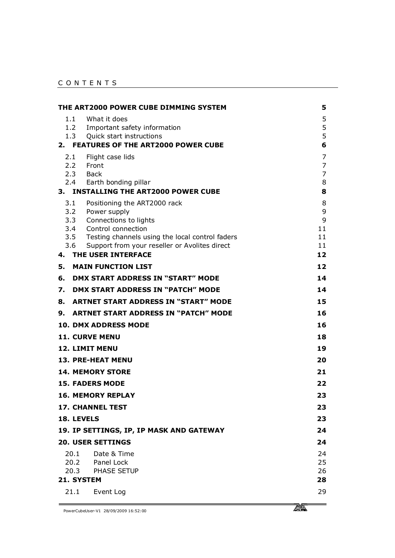#### C O N T E N T S

|                         | THE ART2000 POWER CUBE DIMMING SYSTEM                        | 5                   |
|-------------------------|--------------------------------------------------------------|---------------------|
| 1.1                     | What it does                                                 | 5                   |
| 1.3                     | 1.2 Important safety information<br>Quick start instructions | 5<br>5              |
|                         | 2. FEATURES OF THE ART2000 POWER CUBE                        | 6                   |
| 2.1                     | Flight case lids                                             | $\overline{7}$      |
| 2.2 Front               |                                                              | $\overline{7}$      |
| 2.3 Back                | 2.4 Earth bonding pillar                                     | $\overline{7}$<br>8 |
| 3.                      | <b>INSTALLING THE ART2000 POWER CUBE</b>                     | 8                   |
| 3.1                     | Positioning the ART2000 rack                                 | 8                   |
| 3.2<br>3.3              | Power supply                                                 | 9<br>9              |
| 3.4                     | Connections to lights<br>Control connection                  | 11                  |
|                         | 3.5 Testing channels using the local control faders          | 11                  |
| 3.6                     | Support from your reseller or Avolites direct                | 11                  |
| 4.                      | THE USER INTERFACE                                           | 12                  |
| 5.                      | <b>MAIN FUNCTION LIST</b>                                    | 12                  |
| 6.                      | <b>DMX START ADDRESS IN "START" MODE</b>                     | 14                  |
| 7.                      | DMX START ADDRESS IN "PATCH" MODE                            | 14                  |
| 8.                      | <b>ARTNET START ADDRESS IN "START" MODE</b>                  | 15                  |
| 9.                      | <b>ARTNET START ADDRESS IN "PATCH" MODE</b>                  | 16                  |
|                         | <b>10. DMX ADDRESS MODE</b>                                  | 16                  |
| <b>11. CURVE MENU</b>   |                                                              | 18                  |
| <b>12. LIMIT MENU</b>   |                                                              | 19                  |
|                         | <b>13. PRE-HEAT MENU</b>                                     | 20                  |
|                         | <b>14. MEMORY STORE</b>                                      | 21                  |
| <b>15. FADERS MODE</b>  |                                                              | 22                  |
|                         | <b>16. MEMORY REPLAY</b>                                     | 23                  |
| <b>17. CHANNEL TEST</b> |                                                              | 23                  |
| 18. LEVELS              |                                                              | 23                  |
|                         | 19. IP SETTINGS, IP, IP MASK AND GATEWAY                     | 24                  |
|                         | <b>20. USER SETTINGS</b>                                     | 24                  |
| 20.1                    | Date & Time                                                  | 24                  |
|                         | 20.2 Panel Lock<br>20.3 PHASE SETUP                          | 25<br>26            |
| 21. SYSTEM              |                                                              | 28                  |
| 21.1                    | Event Log                                                    | 29                  |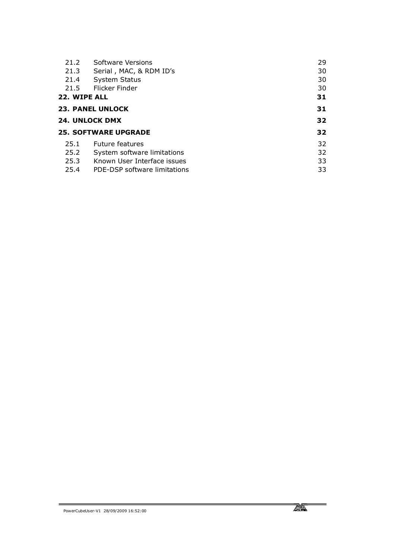| 21.2                                 | Software Versions           | 29 |
|--------------------------------------|-----------------------------|----|
| 21.3                                 | Serial, MAC, & RDM ID's     | 30 |
| 21.4                                 | <b>System Status</b>        | 30 |
| 21.5                                 | Flicker Finder              | 30 |
| 22. WIPE ALL                         |                             | 31 |
|                                      | <b>23. PANEL UNLOCK</b>     | 31 |
|                                      | <b>24. UNLOCK DMX</b>       |    |
|                                      | <b>25. SOFTWARE UPGRADE</b> | 32 |
| 25.1                                 | <b>Future features</b>      | 32 |
| 25.2                                 | System software limitations | 32 |
| 25.3                                 | Known User Interface issues | 33 |
| 25.4<br>PDE-DSP software limitations |                             |    |

Ξ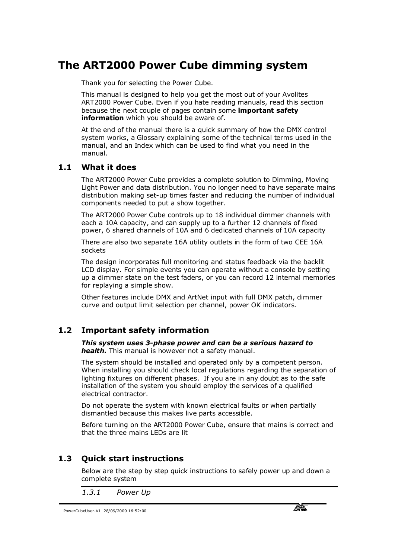# **The ART2000 Power Cube dimming system**

Thank you for selecting the Power Cube.

This manual is designed to help you get the most out of your Avolites ART2000 Power Cube. Even if you hate reading manuals, read this section because the next couple of pages contain some **important safety information** which you should be aware of.

At the end of the manual there is a quick summary of how the DMX control system works, a Glossary explaining some of the technical terms used in the manual, and an Index which can be used to find what you need in the manual.

#### **1.1 What it does**

The ART2000 Power Cube provides a complete solution to Dimming, Moving Light Power and data distribution. You no longer need to have separate mains distribution making set-up times faster and reducing the number of individual components needed to put a show together.

The ART2000 Power Cube controls up to 18 individual dimmer channels with each a 10A capacity, and can supply up to a further 12 channels of fixed power, 6 shared channels of 10A and 6 dedicated channels of 10A capacity

There are also two separate 16A utility outlets in the form of two CEE 16A sockets

The design incorporates full monitoring and status feedback via the backlit LCD display. For simple events you can operate without a console by setting up a dimmer state on the test faders, or you can record 12 internal memories for replaying a simple show.

Other features include DMX and ArtNet input with full DMX patch, dimmer curve and output limit selection per channel, power OK indicators.

### **1.2 Important safety information**

*This system uses 3-phase power and can be a serious hazard to health.* This manual is however not a safety manual.

The system should be installed and operated only by a competent person. When installing you should check local regulations regarding the separation of lighting fixtures on different phases. If you are in any doubt as to the safe installation of the system you should employ the services of a qualified electrical contractor.

Do not operate the system with known electrical faults or when partially dismantled because this makes live parts accessible.

Before turning on the ART2000 Power Cube, ensure that mains is correct and that the three mains LEDs are lit

### **1.3 Quick start instructions**

Below are the step by step quick instructions to safely power up and down a complete system

*1.3.1 Power Up*

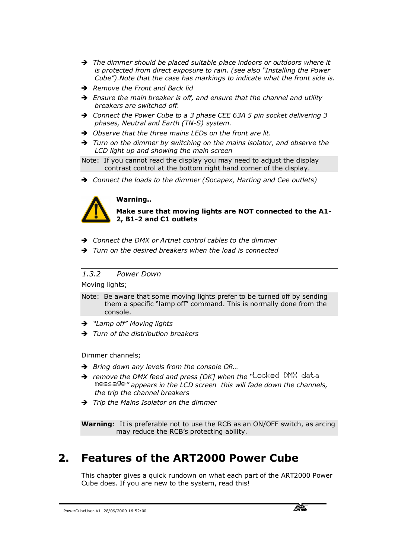- → The dimmer should be placed suitable place indoors or outdoors where it *is protected from direct exposure to rain. (see also "Installing the Power Cube").Note that the case has markings to indicate what the front side is.*
- **→** Remove the Front and Back lid
- $\rightarrow$  Ensure the main breaker is off, and ensure that the channel and utility *breakers are switched off.*
- Ë *Connect the Power Cube to a 3 phase CEE 63A 5 pin socket delivering 3 phases, Neutral and Earth (TN-S) system.*
- **→** Observe that the three mains LEDs on the front are lit.
- $\rightarrow$  Turn on the dimmer by switching on the mains isolator, and observe the *LCD light up and showing the main screen*
- Note: If you cannot read the display you may need to adjust the display contrast control at the bottom right hand corner of the display.
- → Connect the loads to the dimmer (Socapex, Harting and Cee outlets)



#### **Warning..**

**Make sure that moving lights are NOT connected to the A1- 2, B1-2 and C1 outlets**

- **→** *Connect the DMX or Artnet control cables to the dimmer*
- $\rightarrow$  Turn on the desired breakers when the load is connected

*1.3.2 Power Down*

Moving lights;

- Note: Be aware that some moving lights prefer to be turned off by sending them a specific "lamp off" command. This is normally done from the console.
- Ë *"Lamp off" Moving lights*
- $\rightarrow$  *Turn of the distribution breakers*

Dimmer channels;

- **→** Bring down any levels from the console OR...
- → remove the DMX feed and press [OK] when the "Locked DMX data message*" appears in the LCD screen this will fade down the channels, the trip the channel breakers*
- $\rightarrow$  *Trip the Mains Isolator on the dimmer*

**Warning**: It is preferable not to use the RCB as an ON/OFF switch, as arcing may reduce the RCB's protecting ability.

### **2. Features of the ART2000 Power Cube**

This chapter gives a quick rundown on what each part of the ART2000 Power Cube does. If you are new to the system, read this!

PowerCubeUser-V1 28/09/2009 16:52:00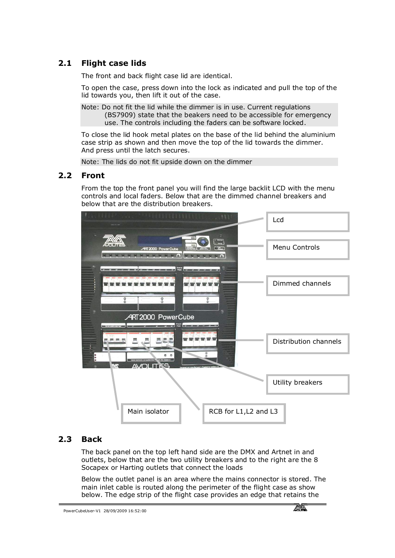### **2.1 Flight case lids**

The front and back flight case lid are identical.

To open the case, press down into the lock as indicated and pull the top of the lid towards you, then lift it out of the case.

Note: Do not fit the lid while the dimmer is in use. Current regulations (BS7909) state that the beakers need to be accessible for emergency use. The controls including the faders can be software locked.

To close the lid hook metal plates on the base of the lid behind the aluminium case strip as shown and then move the top of the lid towards the dimmer. And press until the latch secures.

Note: The lids do not fit upside down on the dimmer

#### **2.2 Front**

From the top the front panel you will find the large backlit LCD with the menu controls and local faders. Below that are the dimmed channel breakers and below that are the distribution breakers.



### **2.3 Back**

The back panel on the top left hand side are the DMX and Artnet in and outlets, below that are the two utility breakers and to the right are the 8 Socapex or Harting outlets that connect the loads

Below the outlet panel is an area where the mains connector is stored. The main inlet cable is routed along the perimeter of the flight case as show below. The edge strip of the flight case provides an edge that retains the

PowerCubeUser-V1 28/09/2009 16:52:00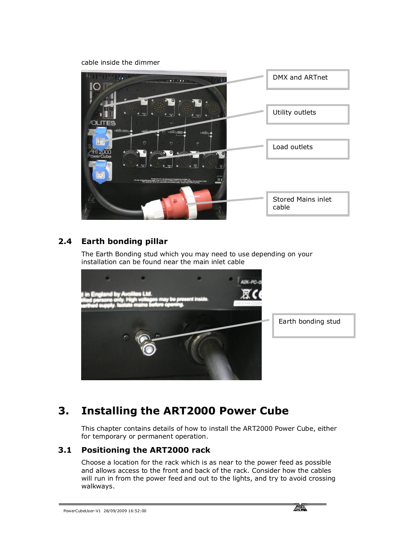cable inside the dimmer



### **2.4 Earth bonding pillar**

The Earth Bonding stud which you may need to use depending on your installation can be found near the main inlet cable



# **3. Installing the ART2000 Power Cube**

This chapter contains details of how to install the ART2000 Power Cube, either for temporary or permanent operation.

### **3.1 Positioning the ART2000 rack**

Choose a location for the rack which is as near to the power feed as possible and allows access to the front and back of the rack. Consider how the cables will run in from the power feed and out to the lights, and try to avoid crossing walkways.

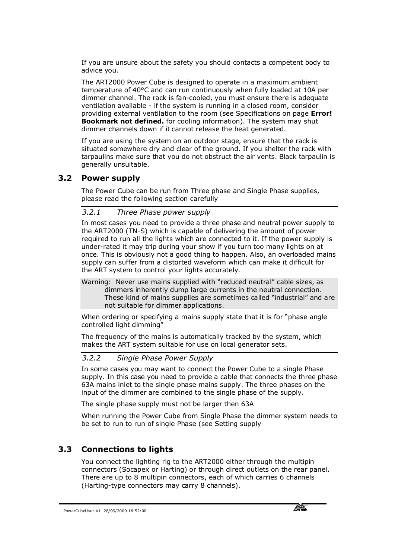If you are unsure about the safety you should contacts a competent body to advice you.

The ART2000 Power Cube is designed to operate in a maximum ambient temperature of 40°C and can run continuously when fully loaded at 10A per dimmer channel. The rack is fan-cooled, you must ensure there is adequate ventilation available - if the system is running in a closed room, consider providing external ventilation to the room (see Specifications on page **Error! Bookmark not defined.** for cooling information). The system may shut dimmer channels down if it cannot release the heat generated.

If you are using the system on an outdoor stage, ensure that the rack is situated somewhere dry and clear of the ground. If you shelter the rack with tarpaulins make sure that you do not obstruct the air vents. Black tarpaulin is generally unsuitable.

#### **3.2 Power supply**

The Power Cube can be run from Three phase and Single Phase supplies, please read the following section carefully

#### *3.2.1 Three Phase power supply*

In most cases you need to provide a three phase and neutral power supply to the ART2000 (TN-S) which is capable of delivering the amount of power required to run all the lights which are connected to it. If the power supply is under-rated it may trip during your show if you turn too many lights on at once. This is obviously not a good thing to happen. Also, an overloaded mains supply can suffer from a distorted waveform which can make it difficult for the ART system to control your lights accurately.

Warning: Never use mains supplied with "reduced neutral" cable sizes, as dimmers inherently dump large currents in the neutral connection. These kind of mains supplies are sometimes called "industrial" and are not suitable for dimmer applications.

When ordering or specifying a mains supply state that it is for "phase angle controlled light dimming"

The frequency of the mains is automatically tracked by the system, which makes the ART system suitable for use on local generator sets.

#### *3.2.2 Single Phase Power Supply*

In some cases you may want to connect the Power Cube to a single Phase supply. In this case you need to provide a cable that connects the three phase 63A mains inlet to the single phase mains supply. The three phases on the input of the dimmer are combined to the single phase of the supply.

The single phase supply must not be larger then 63A

When running the Power Cube from Single Phase the dimmer system needs to be set to run to run of single Phase (see Setting supply

### **3.3 Connections to lights**

You connect the lighting rig to the ART2000 either through the multipin connectors (Socapex or Harting) or through direct outlets on the rear panel. There are up to 8 multipin connectors, each of which carries 6 channels (Harting-type connectors may carry 8 channels).

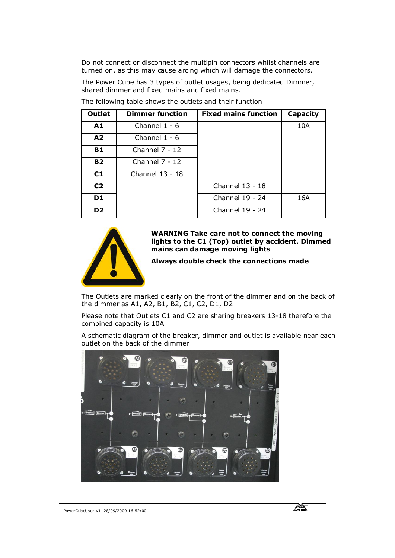Do not connect or disconnect the multipin connectors whilst channels are turned on, as this may cause arcing which will damage the connectors.

The Power Cube has 3 types of outlet usages, being dedicated Dimmer, shared dimmer and fixed mains and fixed mains.

| <b>Outlet</b>  | <b>Dimmer function</b> | <b>Fixed mains function</b> | Capacity |
|----------------|------------------------|-----------------------------|----------|
| A1             | Channel $1 - 6$        |                             | 10A      |
| A2             | Channel $1 - 6$        |                             |          |
| <b>B1</b>      | Channel $7 - 12$       |                             |          |
| <b>B2</b>      | Channel $7 - 12$       |                             |          |
| C1             | Channel 13 - 18        |                             |          |
| C <sub>2</sub> |                        | Channel 13 - 18             |          |
| D <sub>1</sub> |                        | Channel 19 - 24             | 16A      |
| D <sub>2</sub> |                        | Channel 19 - 24             |          |

The following table shows the outlets and their function



#### **WARNING Take care not to connect the moving lights to the C1 (Top) outlet by accident. Dimmed mains can damage moving lights**

#### **Always double check the connections made**

The Outlets are marked clearly on the front of the dimmer and on the back of the dimmer as A1, A2, B1, B2, C1, C2, D1, D2

Please note that Outlets C1 and C2 are sharing breakers 13-18 therefore the combined capacity is 10A

A schematic diagram of the breaker, dimmer and outlet is available near each outlet on the back of the dimmer

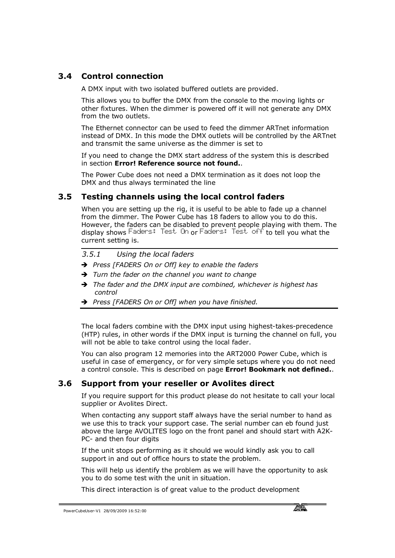### **3.4 Control connection**

A DMX input with two isolated buffered outlets are provided.

This allows you to buffer the DMX from the console to the moving lights or other fixtures. When the dimmer is powered off it will not generate any DMX from the two outlets.

The Ethernet connector can be used to feed the dimmer ARTnet information instead of DMX. In this mode the DMX outlets will be controlled by the ARTnet and transmit the same universe as the dimmer is set to

If you need to change the DMX start address of the system this is described in section **Error! Reference source not found.**.

The Power Cube does not need a DMX termination as it does not loop the DMX and thus always terminated the line

#### **3.5 Testing channels using the local control faders**

When you are setting up the rig, it is useful to be able to fade up a channel from the dimmer. The Power Cube has 18 faders to allow you to do this. However, the faders can be disabled to prevent people playing with them. The display shows Faders: Test On or Faders: Test off to tell you what the current setting is.

#### *3.5.1 Using the local faders*

- Ë *Press [FADERS On or Off] key to enable the faders*
- $\rightarrow$  Turn the fader on the channel you want to change
- → The fader and the DMX input are combined, whichever is highest has *control*
- Ë *Press [FADERS On or Off] when you have finished.*

The local faders combine with the DMX input using highest-takes-precedence (HTP) rules, in other words if the DMX input is turning the channel on full, you will not be able to take control using the local fader.

You can also program 12 memories into the ART2000 Power Cube, which is useful in case of emergency, or for very simple setups where you do not need a control console. This is described on page **Error! Bookmark not defined.**.

#### **3.6 Support from your reseller or Avolites direct**

If you require support for this product please do not hesitate to call your local supplier or Avolites Direct.

When contacting any support staff always have the serial number to hand as we use this to track your support case. The serial number can eb found just above the large AVOLITES logo on the front panel and should start with A2K-PC- and then four digits

If the unit stops performing as it should we would kindly ask you to call support in and out of office hours to state the problem.

This will help us identify the problem as we will have the opportunity to ask you to do some test with the unit in situation.

This direct interaction is of great value to the product development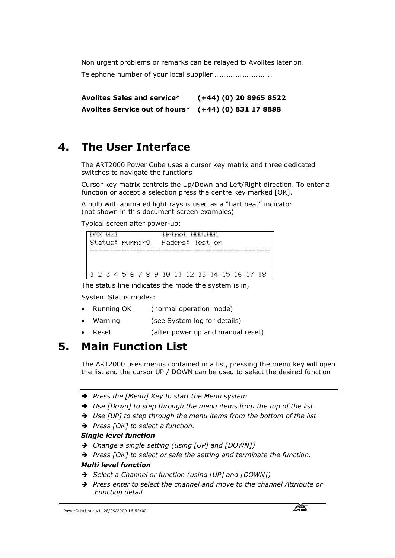Non urgent problems or remarks can be relayed to Avolites later on. Telephone number of your local supplier …………………………..

**Avolites Sales and service\* (+44) (0) 20 8965 8522 Avolites Service out of hours\* (+44) (0) 831 17 8888**

# **4. The User Interface**

The ART2000 Power Cube uses a cursor key matrix and three dedicated switches to navigate the functions

Cursor key matrix controls the Up/Down and Left/Right direction. To enter a function or accept a selection press the centre key marked [OK].

A bulb with animated light rays is used as a "hart beat" indicator (not shown in this document screen examples)

Typical screen after power-up:

| PP 1<br>DMX<br>Status: running | Artret AAA.AA1<br>Faders: Test.on    |
|--------------------------------|--------------------------------------|
| 4<br>- 2 X                     | 5 6 7 8 9 10 11 12 13 14 15 16 17 18 |

The status line indicates the mode the system is in,

System Status modes:

- · Running OK (normal operation mode)
- · Warning (see System log for details)
- · Reset (after power up and manual reset)

### **5. Main Function List**

The ART2000 uses menus contained in a list, pressing the menu key will open the list and the cursor UP / DOWN can be used to select the desired function

- Ë *Press the [Menu] Key to start the Menu system*
- → Use [Down] to step through the menu items from the top of the list
- → Use [UP] to step through the menu items from the bottom of the list
- Ë *Press [OK] to select a function.*

#### *Single level function*

- Ë *Change a single setting (using [UP] and [DOWN])*
- → Press [OK] to select or safe the setting and terminate the function.

#### *Multi level function*

- Ë *Select a Channel or function (using [UP] and [DOWN])*
- → Press enter to select the channel and move to the channel Attribute or *Function detail*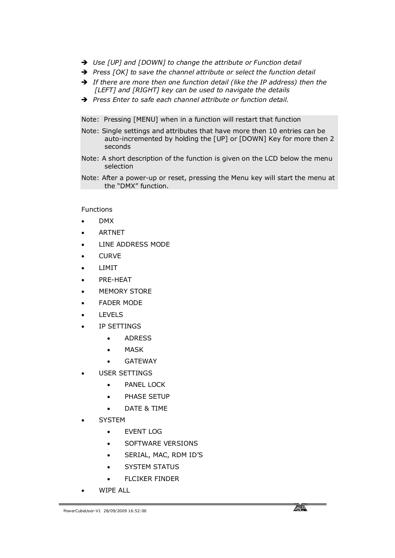- → Use [UP] and [DOWN] to change the attribute or Function detail
- Ë *Press [OK] to save the channel attribute or select the function detail*
- $\rightarrow$  If there are more then one function detail (like the IP address) then the *[LEFT] and [RIGHT] key can be used to navigate the details*
- Ë *Press Enter to safe each channel attribute or function detail.*

Note: Pressing [MENU] when in a function will restart that function

- Note: Single settings and attributes that have more then 10 entries can be auto-incremented by holding the [UP] or [DOWN] Key for more then 2 seconds
- Note: A short description of the function is given on the LCD below the menu selection
- Note: After a power-up or reset, pressing the Menu key will start the menu at the "DMX" function.

Functions

- · DMX
- · ARTNET
- LINE ADDRESS MODE
- **CURVE**
- **LIMIT**
- PRE-HEAT
- **MEMORY STORE**
- FADER MODE
- **LEVELS**
- · IP SETTINGS
	- · ADRESS
	- **MASK**
	- · GATEWAY
- USER SETTINGS
	- · PANEL LOCK
	- · PHASE SETUP
	- · DATE & TIME
- **SYSTEM** 
	- · EVENT LOG
	- · SOFTWARE VERSIONS
	- SERIAL, MAC, RDM ID'S
	- **SYSTEM STATUS**
	- · FLCIKER FINDER
- · WIPE ALL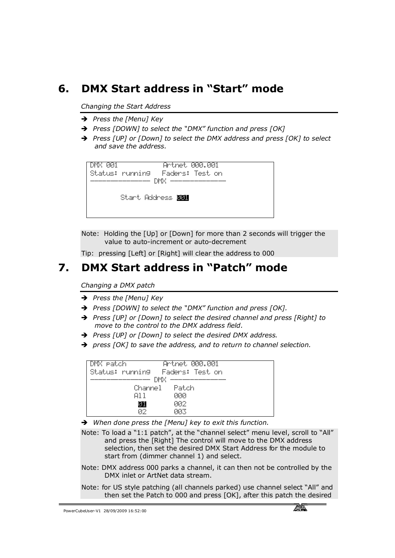# **6. DMX Start address in "Start" mode**

*Changing the Start Address*

- **→** Press the [Menu] Key
- Ë *Press [DOWN] to select the "DMX" function and press [OK]*
- → Press [UP] or [Down] to select the DMX address and press [OK] to select *and save the address.*

| DMX PRI | Status: running - Farkrs: Test.on | Artnet MAA.AA1 |  |
|---------|-----------------------------------|----------------|--|
|         | Start Address <b>脚</b>            |                |  |

Note: Holding the [Up] or [Down] for more than 2 seconds will trigger the value to auto-increment or auto-decrement

Tip: pressing [Left] or [Right] will clear the address to 000

### **7. DMX Start address in "Patch" mode**

*Changing a DMX patch* 

- → Press the [Menu] Key
- Ë *Press [DOWN] to select the "DMX" function and press [OK].*
- Ë *Press [UP] or [Down] to select the desired channel and press [Right] to move to the control to the DMX address field.*
- → Press [UP] or [Down] to select the desired DMX address.
- Ë *press [OK] to save the address, and to return to channel selection.*

| DMX eatch |               | Artret MAA.AA1                  |
|-----------|---------------|---------------------------------|
|           |               | Status: running Faders: Test on |
|           | DMX           |                                 |
|           | Channel Patch |                                 |
|           | A1 1          | คคค                             |
|           |               | คคว                             |
|           | ΩP            | ΩR⊼                             |

→ When done press the [Menu] key to exit this function.

Note: To load a "1:1 patch", at the "channel select" menu level, scroll to "All" and press the [Right] The control will move to the DMX address selection, then set the desired DMX Start Address for the module to start from (dimmer channel 1) and select.

- Note: DMX address 000 parks a channel, it can then not be controlled by the DMX inlet or ArtNet data stream.
- Note: for US style patching (all channels parked) use channel select "All" and then set the Patch to 000 and press [OK], after this patch the desired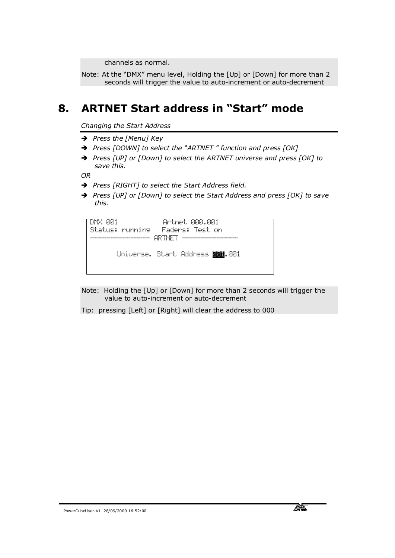channels as normal.

Note: At the "DMX" menu level, Holding the [Up] or [Down] for more than 2 seconds will trigger the value to auto-increment or auto-decrement

### **8. ARTNET Start address in "Start" mode**

*Changing the Start Address*

- → *Press the [Menu] Key*
- Ë *Press [DOWN] to select the "ARTNET " function and press [OK]*
- → Press [UP] or [Down] to select the ARTNET universe and press [OK] to *save this.*

*OR* 

- → Press [RIGHT] to select the Start Address field.
- → Press [UP] or [Down] to select the Start Address and press [OK] to save *this.*

DMX 001 Artnet 000.001 Status: running Faders: Test on  $-$  ARTNET  $-$ Universe. Start Address **001**.001

- Note: Holding the [Up] or [Down] for more than 2 seconds will trigger the value to auto-increment or auto-decrement
- Tip: pressing [Left] or [Right] will clear the address to 000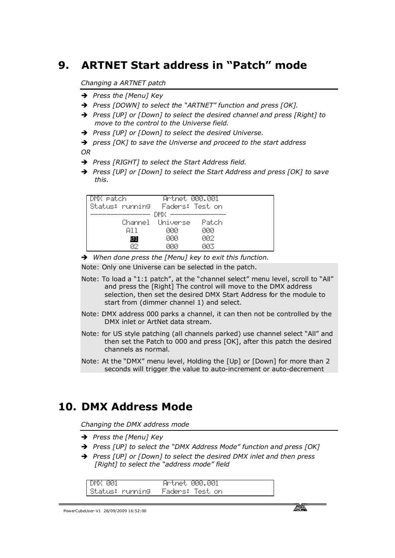# **9. ARTNET Start address in "Patch" mode**

#### *Changing a ARTNET patch*

- → Press the [Menu] Key
- Ë *Press [DOWN] to select the "ARTNET" function and press [OK].*
- → Press [UP] or [Down] to select the desired channel and press [Right] to *move to the control to the Universe field.*
- Ë *Press [UP] or [Down] to select the desired Universe.*
- $\rightarrow$  press [OK] to save the Universe and proceed to the start address *OR*
- → Press [RIGHT] to select the Start Address field.
- Ë *Press [UP] or [Down] to select the Start Address and press [OK] to save this.*

| DMX patch       | <u>Artnet 000.001</u> |             |  |
|-----------------|-----------------------|-------------|--|
| Status: running | Faders: Test.on       |             |  |
|                 | DMX.                  |             |  |
|                 | Channel Universe      | Patrin      |  |
| A11             | คคล                   | คคค         |  |
| 羅               | คคล                   | <u> PPC</u> |  |
| 92              | คค                    | ЙΚ          |  |

→ When done press the [Menu] key to exit this function.

Note: Only one Universe can be selected in the patch.

- Note: To load a "1:1 patch", at the "channel select" menu level, scroll to "All" and press the [Right] The control will move to the DMX address selection, then set the desired DMX Start Address for the module to start from (dimmer channel 1) and select.
- Note: DMX address 000 parks a channel, it can then not be controlled by the DMX inlet or ArtNet data stream.
- Note: for US style patching (all channels parked) use channel select "All" and then set the Patch to 000 and press [OK], after this patch the desired channels as normal.
- Note: At the "DMX" menu level, Holding the [Up] or [Down] for more than 2 seconds will trigger the value to auto-increment or auto-decrement

### **10. DMX Address Mode**

*Changing the DMX address mode* 

- **→** Press the [Menu] Key
- Ë *Press [UP] to select the "DMX Address Mode" function and press [OK]*
- → Press [UP] or [Down] to select the desired DMX inlet and then press *[Right] to select the "address mode" field*

| ान<br><br>- 10                                     |                                                              | anum d<br>нr<br>-94<br>111<br>- 1<br><br><b><i><u>Press</u></i></b> | - 992<br>تتعملك                                   |  |
|----------------------------------------------------|--------------------------------------------------------------|---------------------------------------------------------------------|---------------------------------------------------|--|
| $\cdots$<br>- 64<br><br>a ser f<br><br>.<br>۰<br>w | <b>September</b><br>$\cdots$<br><b>The County</b><br><br>. . | <br>ı<br><b>DO</b><br>ters:<br>۰.,<br>                              | -----<br>C۳<br><b>Sept 2 1999</b><br>$\cdots$<br> |  |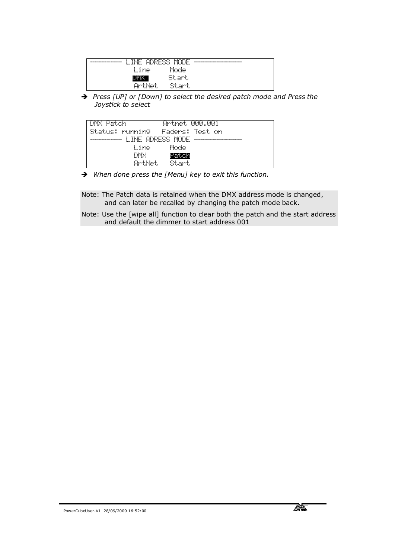| $\overline{\phantom{a}}$<br>-----<br><b>19599</b><br><br>r.<br>⊢<br>----<br><br> | . . <del>.</del><br>.<br>æ<br><br><br>.<br>۰              |  |
|----------------------------------------------------------------------------------|-----------------------------------------------------------|--|
| ne.                                                                              | Mode                                                      |  |
|                                                                                  | <br><b>Section</b><br>and a state<br>t, sil<br>۰.,<br>. . |  |
| het<br>alles to<br>- 12<br>- 11<br>ν.<br>w                                       | Star<br>and the projection<br>۰.,                         |  |

→ Press [UP] or [Down] to select the desired patch mode and Press the *Joystick to select*

| DMX Patch       | Artret MAA.AA1    |  |
|-----------------|-------------------|--|
| Status: running | - Faders: Test on |  |
|                 | LINE ADRESS MODE  |  |
| line –          | Morde             |  |
| DMX             | Patron            |  |
| Arthet,         | Start             |  |

→ When done press the [Menu] key to exit this function.

Note: The Patch data is retained when the DMX address mode is changed, and can later be recalled by changing the patch mode back.

Note: Use the [wipe all] function to clear both the patch and the start address and default the dimmer to start address 001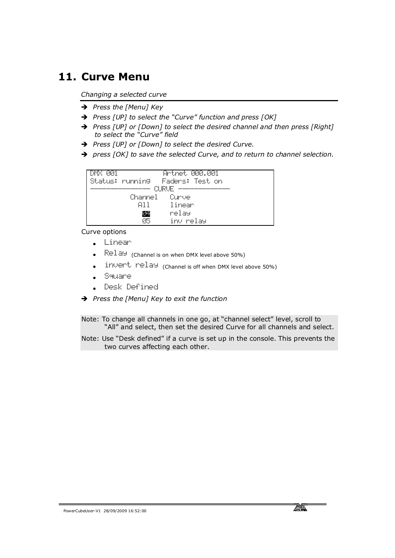### **11. Curve Menu**

*Changing a selected curve*

- → Press the [Menu] Key
- Ë *Press [UP] to select the "Curve" function and press [OK]*
- Ë *Press [UP] or [Down] to select the desired channel and then press [Right] to select the "Curve" field*
- Ë *Press [UP] or [Down] to select the desired Curve.*
- $\rightarrow$  press [OK] to save the selected Curve, and to return to channel selection.

| DMX PRI |               | <u>Artnet 000.001</u>             |
|---------|---------------|-----------------------------------|
|         |               | Status: running - Faders: Test on |
|         |               | O RUF                             |
|         | Channel Curve |                                   |
|         |               |                                   |
|         | 811.          | -linear                           |
|         | œ             | relay                             |
|         | ØБ            | inv relay                         |

Curve options

- · Linear
- $\mathbb{R}$   $\mathbb{R}$   $\mathbb{R}$   $\mathbb{R}$  (Channel is on when DMX level above 50%)
- invert relay (Channel is off when DMX level above 50%)
- · Square
- · Desk Defined
- Ë *Press the [Menu] Key to exit the function*

Note: To change all channels in one go, at "channel select" level, scroll to "All" and select, then set the desired Curve for all channels and select.

Note: Use "Desk defined" if a curve is set up in the console. This prevents the two curves affecting each other.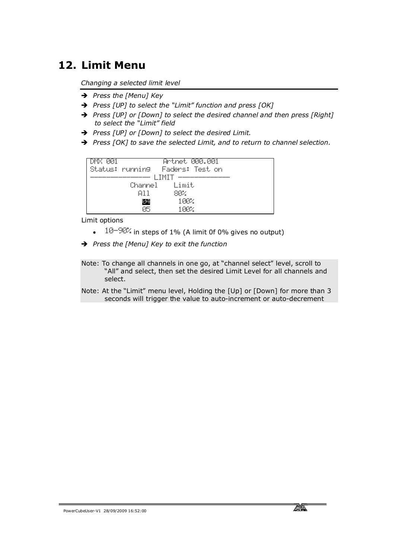# **12. Limit Menu**

*Changing a selected limit level*

- → Press the [Menu] Key
- Ë *Press [UP] to select the "Limit" function and press [OK]*
- → Press [UP] or [Down] to select the desired channel and then press [Right] *to select the "Limit" field*
- Ë *Press [UP] or [Down] to select the desired Limit.*
- → Press [OK] to save the selected Limit, and to return to channel selection.



Limit options

- $\cdot$  10-90% in steps of 1% (A limit 0f 0% gives no output)
- Ë *Press the [Menu] Key to exit the function*
- Note: To change all channels in one go, at "channel select" level, scroll to "All" and select, then set the desired Limit Level for all channels and select.
- Note: At the "Limit" menu level, Holding the [Up] or [Down] for more than 3 seconds will trigger the value to auto-increment or auto-decrement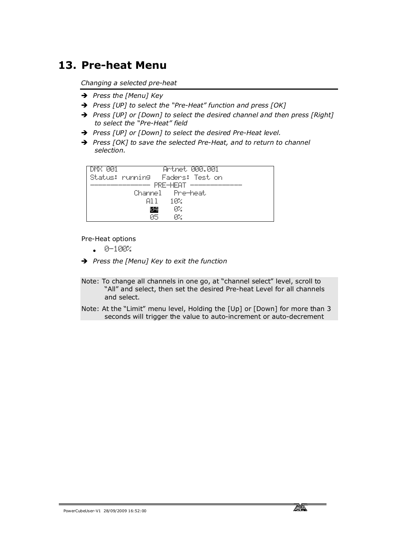# **13. Pre-heat Menu**

*Changing a selected pre-heat*

- → *Press the [Menu] Key*
- Ë *Press [UP] to select the "Pre-Heat" function and press [OK]*
- → Press [UP] or [Down] to select the desired channel and then press [Right] *to select the "Pre-Heat" field*
- → Press [UP] or [Down] to select the desired Pre-Heat level.
- → Press [OK] to save the selected Pre-Heat, and to return to channel *selection.*

| <u>Artnet 000.001</u><br>DMX 001  |  |
|-----------------------------------|--|
| Status: running - Faders: Test on |  |
| PRE-HEAT                          |  |
| Channel Pre-heat                  |  |
| 102.<br>A1 1.                     |  |
| ØИ.<br>Z.                         |  |
| ØБ<br>ØZ.                         |  |

Pre-Heat options

- · 0-100%
- Ë *Press the [Menu] Key to exit the function*

Note: To change all channels in one go, at "channel select" level, scroll to "All" and select, then set the desired Pre-heat Level for all channels and select.

Note: At the "Limit" menu level, Holding the [Up] or [Down] for more than 3 seconds will trigger the value to auto-increment or auto-decrement

PowerCubeUser-V1 28/09/2009 16:52:00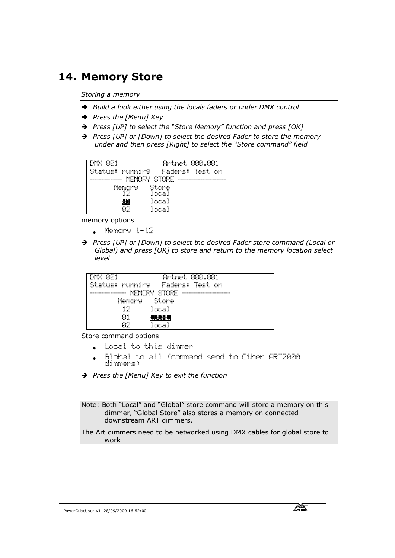# **14. Memory Store**

*Storing a memory*

- → Build a look either using the locals faders or under DMX control
- → Press the [Menu] Key
- Ë *Press [UP] to select the "Store Memory" function and press [OK]*
- → Press [UP] or [Down] to select the desired Fader to store the memory *under and then press [Right] to select the "Store command" field*

| ЙЙ1<br>DMX.      | 000.001<br>Artnet i |
|------------------|---------------------|
| Status: running  | Faders: Test.on     |
| MEMORY STORE<br> |                     |
| Memory           | Store.              |
|                  | local               |
| 類難               | local               |
| Й2               | local               |

memory options

- · Memory 1-12
- Ë *Press [UP] or [Down] to select the desired Fader store command (Local or Global) and press [OK] to store and return to the memory location select level*

| - 221<br>DMX. |              |                                   | Artnet 000.001 |
|---------------|--------------|-----------------------------------|----------------|
|               |              | Status: running - Faders: Test on |                |
|               | MEMORY STORE |                                   |                |
|               | Memory Store |                                   |                |
|               | 12. .        | local                             |                |
|               | 01           | . .                               |                |
|               | 82           | local                             |                |

Store command options

- · Local to this dimmer
- · Global to all (command send to Other ART2000 dimmers)
- Ë *Press the [Menu] Key to exit the function*

Note: Both "Local" and "Global" store command will store a memory on this dimmer, "Global Store" also stores a memory on connected downstream ART dimmers.

The Art dimmers need to be networked using DMX cables for global store to work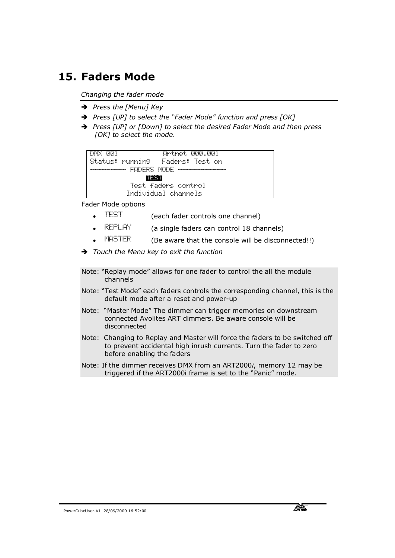### **15. Faders Mode**

*Changing the fader mode*

- → Press the [Menu] Key
- Ë *Press [UP] to select the "Fader Mode" function and press [OK]*
- Ë *Press [UP] or [Down] to select the desired Fader Mode and then press [OK] to select the mode.*

```
DMX 001 Artnet 000.001
Status: running Faders: Test on 
       - FADERS MODE -
              TEST
          Test faders control 
         Individual channels
```
Fader Mode options

- · TEST (each fader controls one channel)
- $\overline{R}$ EPLAY (a single faders can control 18 channels)
- $MISTER$  (Be aware that the console will be disconnected!!)
- Ë *Touch the Menu key to exit the function*
- Note: "Replay mode" allows for one fader to control the all the module channels
- Note: "Test Mode" each faders controls the corresponding channel, this is the default mode after a reset and power-up
- Note: "Master Mode" The dimmer can trigger memories on downstream connected Avolites ART dimmers. Be aware console will be disconnected
- Note: Changing to Replay and Master will force the faders to be switched off to prevent accidental high inrush currents. Turn the fader to zero before enabling the faders
- Note: If the dimmer receives DMX from an ART2000*i*, memory 12 may be triggered if the ART2000i frame is set to the "Panic" mode.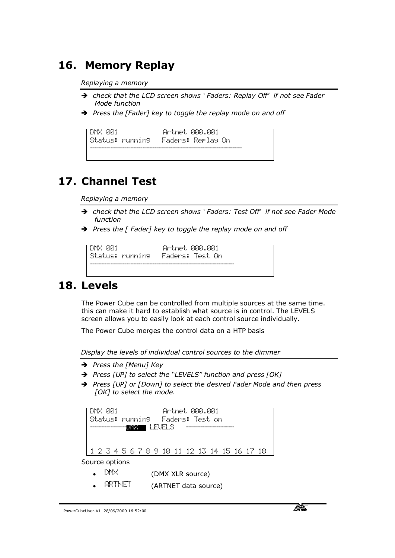# **16. Memory Replay**

*Replaying a memory*

- $\rightarrow$  check that the LCD screen shows *'* Faders: Replay Off' *if not see Fader Mode function*
- **→** Press the [Fader] key to toggle the replay mode on and off

```
DMX 001 Artnet 000.001
Status: running Faders: Replay On 
--------------------------------------
```
# **17. Channel Test**

*Replaying a memory*

- Ë *check that the LCD screen shows ' Faders: Test Off' if not see Fader Mode function*
- Press the [ Fader] key to toggle the replay mode on and off

```
DMX 001 Artnet 000.001
Status: running Faders: Test On 
------------------------------------
```
### **18. Levels**

The Power Cube can be controlled from multiple sources at the same time. this can make it hard to establish what source is in control. The LEVELS screen allows you to easily look at each control source individually.

The Power Cube merges the control data on a HTP basis

*Display the levels of individual control sources to the dimmer*

- → Press the [Menu] Key
- Ë *Press [UP] to select the "LEVELS" function and press [OK]*
- → Press [UP] or [Down] to select the desired Fader Mode and then press *[OK] to select the mode.*

```
DMX 001 Artnet 000.001
Status: running Faders: Test on 
       - \blacksquare devels -1 2 3 4 5 6 7 8 9 10 11 12 13 14 15 16 17 18
```
Source options

- $DT\%$  (DMX XLR source)
- ARTNET (ARTNET data source)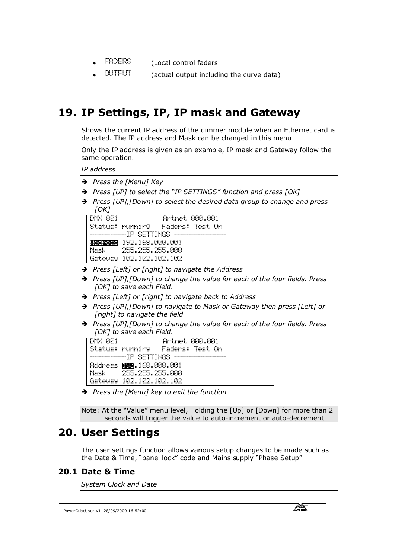- FADERS (Local control faders
- · OUTPUT (actual output including the curve data)

# **19. IP Settings, IP, IP mask and Gateway**

Shows the current IP address of the dimmer module when an Ethernet card is detected. The IP address and Mask can be changed in this menu

Only the IP address is given as an example, IP mask and Gateway follow the same operation.

*IP address*

- → Press the [Menu] Key
- Ë *Press [UP] to select the "IP SETTINGS" function and press [OK]*
- Ë *Press [UP],[Down] to select the desired data group to change and press [OK]*

| DMX RR1 | Artret AAA.AA1                    |
|---------|-----------------------------------|
|         | Status: running - Faders: Test On |
|         | ----------IP SETTINGS ------      |
|         | <b>FRATES 192.168.000.001</b>     |
| Mask    | -255.255.255.000                  |
|         | Bataway 102.102.102.102           |

- Ë *Press [Left] or [right] to navigate the Address*
- → Press [UP], [Down] to change the value for each of the four fields. Press *[OK] to save each Field.*
- Ë *Press [Left] or [right] to navigate back to Address*
- → Press [UP], [Down] to navigate to Mask or Gateway then press [Left] or *[right] to navigate the field*
- Ë *Press [UP],[Down] to change the value for each of the four fields. Press [OK] to save each Field.*

| -DMX PRI | Artnet 000.001                             |
|----------|--------------------------------------------|
|          | Status: running - Faders: Test On          |
|          | ------------------TP SFTTINGS ------------ |
|          | Address 購取.168.000.001                     |
|          | Mask - 255.255.255.000                     |
|          | Вађешач 102.102.102.102                    |

Ë *Press the [Menu] key to exit the function*

Note: At the "Value" menu level, Holding the [Up] or [Down] for more than 2 seconds will trigger the value to auto-increment or auto-decrement

### **20. User Settings**

The user settings function allows various setup changes to be made such as the Date & Time, "panel lock" code and Mains supply "Phase Setup"

#### **20.1 Date & Time**

*System Clock and Date*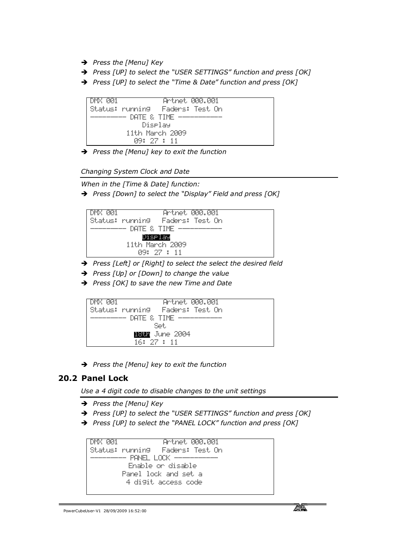- → Press the [Menu] Key
- Ë *Press [UP] to select the "USER SETTINGS" function and press [OK]*
- Ë *Press [UP] to select the "Time & Date" function and press [OK]*



Ë *Press the [Menu] key to exit the function*

*Changing System Clock and Date*

*When in the [Time & Date] function:*

Ë *Press [Down] to select the "Display" Field and press [OK]* 



- → Press [Left] or [Right] to select the select the desired field
- Ë *Press [Up] or [Down] to change the value*
- Ë *Press [OK] to save the new Time and Date*



Ë *Press the [Menu] key to exit the function*

### **20.2 Panel Lock**

*Use a 4 digit code to disable changes to the unit settings* 

- **→** Press the [Menu] Key
- Ë *Press [UP] to select the "USER SETTINGS" function and press [OK]*
- Ë *Press [UP] to select the "PANEL LOCK" function and press [OK]*

DMX 001 Artnet 000.001 Status: running Faders: Test On  $-$  PANEL LOCK  $-$  Enable or disable Panel lock and set a 4 digit access code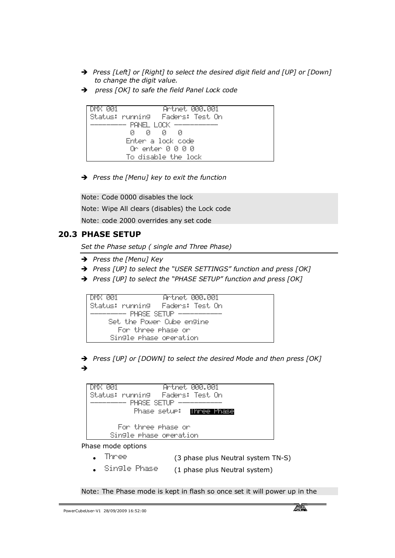- → Press [Left] or [Right] to select the desired digit field and [UP] or [Down] *to change the digit value.*
- Ë *press [OK] to safe the field Panel Lock code*



Ë *Press the [Menu] key to exit the function*

Note: Code 0000 disables the lock

Note: Wipe All clears (disables) the Lock code

Note: code 2000 overrides any set code

### **20.3 PHASE SETUP**

*Set the Phase setup ( single and Three Phase)*

- → Press the [Menu] Key
- Ë *Press [UP] to select the "USER SETTINGS" function and press [OK]*
- Ë *Press [UP] to select the "PHASE SETUP" function and press [OK]*



→ Press [UP] or [DOWN] to select the desired Mode and then press [OK] Ë

| Artnet MAA.AA1<br>-DMX AA1              |  |
|-----------------------------------------|--|
| Status: running - Faders: Test On       |  |
| FHRSE SETIP ---------------<br>         |  |
| Phase setu <b>r: <b>Innee Prese</b></b> |  |
|                                         |  |
| For three shase or                      |  |
| Single Phase operation                  |  |
|                                         |  |

Phase mode options

- Three (3 phase plus Neutral system TN-S)
- Single Phase (1 phase plus Neutral system)

Note: The Phase mode is kept in flash so once set it will power up in the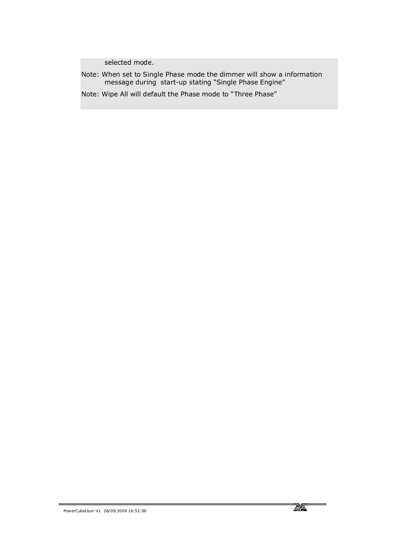selected mode.

Note: When set to Single Phase mode the dimmer will show a information message during start-up stating "Single Phase Engine"

Note: Wipe All will default the Phase mode to "Three Phase"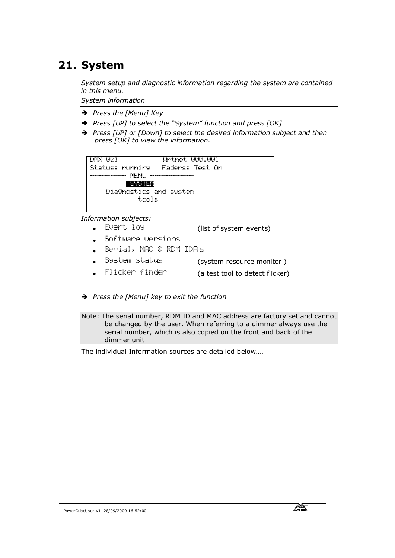# **21. System**

*System setup and diagnostic information regarding the system are contained in this menu.*

*System information*

- **→** Press the [Menu] Key
- Ë *Press [UP] to select the "System" function and press [OK]*
- → Press [UP] or [Down] to select the desired information subject and then *press [OK] to view the information.*

| <u>Artnet 000.001</u><br>DMX PRI  |
|-----------------------------------|
| Status: running - Faders: Test On |
| - MENI I - - - -                  |
| - 575 IEM                         |
| Diagnostics and system            |
| tools                             |
|                                   |

*Information subjects:* 

- Event log (list of system events)
- · Software versions
- Serial, MAC & RDM IDA's
- System status (system resource monitor)
- Flicker finder (a test tool to detect flicker)
- Ë *Press the [Menu] key to exit the function*
- Note: The serial number, RDM ID and MAC address are factory set and cannot be changed by the user. When referring to a dimmer always use the serial number, which is also copied on the front and back of the dimmer unit

The individual Information sources are detailed below….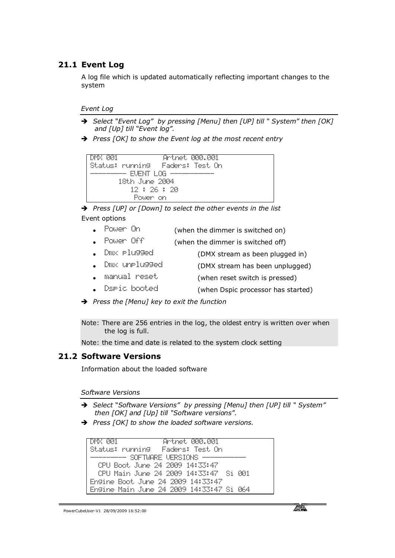### **21.1 Event Log**

A log file which is updated automatically reflecting important changes to the system

#### *Event Log*

- Ë *Select "Event Log" by pressing [Menu] then [UP] till " System" then [OK] and [Up] till "Event log".*
- → Press [OK] to show the Event log at the most recent entry

```
DMX 001 Artnet 000.001
Status: running Faders: Test On 
        - EVENT LOG \cdot 18th June 2004
           12 : 26 : 20
           Power on
```
→ Press [UP] or [Down] to select the other events in the list Event options

- Power On (when the dimmer is switched on)
- Power Off (when the dimmer is switched off)
- Dmx Plugged (DMX stream as been plugged in)
- Dmx unplugged (DMX stream has been unplugged)
- · manual reset (when reset switch is pressed)
- Duric booted (when Dspic processor has started)

Ë *Press the [Menu] key to exit the function*

Note: There are 256 entries in the log, the oldest entry is written over when the log is full.

Note: the time and date is related to the system clock setting

### **21.2 Software Versions**

Information about the loaded software

*Software Versions*

- Ë *Select "Software Versions" by pressing [Menu] then [UP] till " System" then [OK] and [Up] till "Software versions".*
- **→** Press [OK] to show the loaded software versions.

```
DMX 001 Artnet 000.001
Status: running Faders: Test On 
       - SOFTWARE VERSIONS \cdot CPU Boot June 24 2009 14:33:47
  CPU Main June 24 2009 14:33:47 Si 001
Engine Boot June 24 2009 14:33:47
Engine Main June 24 2009 14:33:47 Si 064
```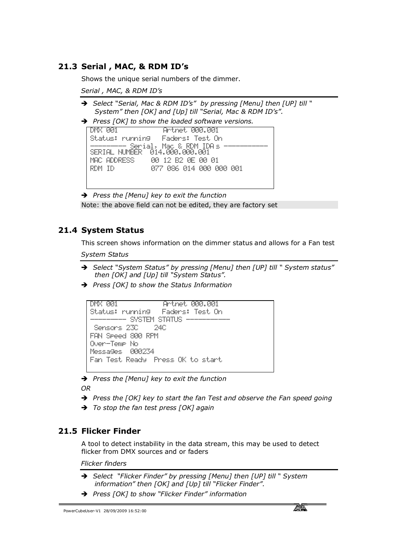### **21.3 Serial , MAC, & RDM ID's**

Shows the unique serial numbers of the dimmer.

*Serial , MAC, & RDM ID's*

- Ë *Select "Serial, Mac & RDM ID's" by pressing [Menu] then [UP] till " System" then [OK] and [Up] till "Serial, Mac & RDM ID's".*
- **→** Press [OK] to show the loaded software versions.



Ë *Press the [Menu] key to exit the function* Note: the above field can not be edited, they are factory set

### **21.4 System Status**

This screen shows information on the dimmer status and allows for a Fan test *System Status*

- Ë *Select "System Status" by pressing [Menu] then [UP] till " System status" then [OK] and [Up] till "System Status".*
- Ë *Press [OK] to show the Status Information*

```
DMX 001 Artnet 000.001
Status: running Faders: Test On 
    --------- SYSTEM STATUS ----------- 
 Sensors 23C 24C
FAN Speed 800 RPM
Over-Temp No
Messages 000234
Fan Test Ready Press OK to start
```
Ë *Press the [Menu] key to exit the function*

*OR*

- → Press the [OK] key to start the fan Test and observe the Fan speed going
- Ë *To stop the fan test press [OK] again*

### **21.5 Flicker Finder**

A tool to detect instability in the data stream, this may be used to detect flicker from DMX sources and or faders

#### *Flicker finders*

- Ë *Select "Flicker Finder" by pressing [Menu] then [UP] till " System information" then [OK] and [Up] till "Flicker Finder".*
- Ë *Press [OK] to show "Flicker Finder" information*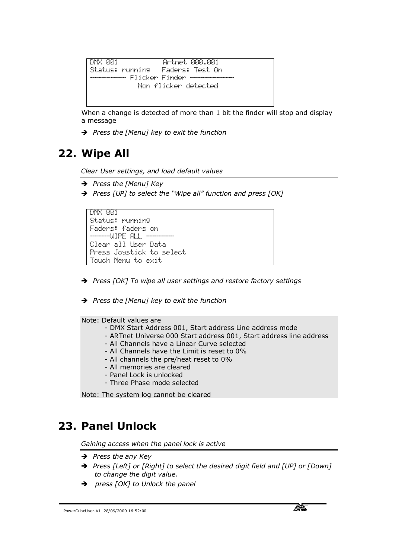```
DMX 001 Artnet 000.001
Status: running Faders: Test On 
   --------- Flicker Finder ----------- 
             Non flicker detected
```
When a change is detected of more than 1 bit the finder will stop and display a message

Ë *Press the [Menu] key to exit the function*

# **22. Wipe All**

*Clear User settings, and load default values*

- → *Press the [Menu] Key*
- → Press [UP] to select the "Wipe all" function and press [OK]

```
DMX 001
Status: running 
Faders: faders on 
  ----WIPE ALL --
Clear all User Data
Press Joystick to select 
Touch Menu to exit
```
- → Press [OK] To wipe all user settings and restore factory settings
- Ë *Press the [Menu] key to exit the function*

Note: Default values are

- DMX Start Address 001, Start address Line address mode
- ARTnet Universe 000 Start address 001, Start address line address
- All Channels have a Linear Curve selected
- All Channels have the Limit is reset to 0%
- All channels the pre/heat reset to 0%
- All memories are cleared
- Panel Lock is unlocked
- Three Phase mode selected

Note: The system log cannot be cleared

### **23. Panel Unlock**

*Gaining access when the panel lock is active* 

- **→** *Press the any Key*
- → Press [Left] or [Right] to select the desired digit field and [UP] or [Down] *to change the digit value.*
- Ë *press [OK] to Unlock the panel*

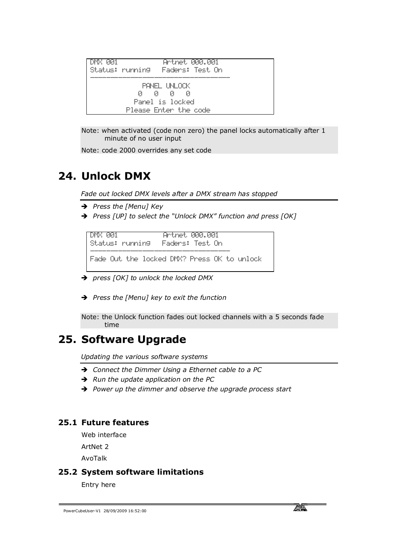| DMX 001 | Artret AAA.AA1                    |
|---------|-----------------------------------|
|         | Status: running - Faders: Test On |
|         | PANEL INLOCK                      |
|         | - и - и<br>Й<br>и                 |
|         | Panel is locked                   |
|         | Please Enter the code             |

Note: when activated (code non zero) the panel locks automatically after 1 minute of no user input

Note: code 2000 overrides any set code

# **24. Unlock DMX**

*Fade out locked DMX levels after a DMX stream has stopped*

- → Press the [Menu] Key
- Ë *Press [UP] to select the "Unlock DMX" function and press [OK]*

DMX 001 Artnet 000.001 Status: running Faders: Test On ----------------------------------- Fade Out the locked DMX? Press OK to unlock

- Ë *press [OK] to unlock the locked DMX*
- Ë *Press the [Menu] key to exit the function*

Note: the Unlock function fades out locked channels with a 5 seconds fade time

# **25. Software Upgrade**

*Updating the various software systems* 

- → Connect the Dimmer Using a Ethernet cable to a PC
- → Run the update application on the PC
- $\rightarrow$  Power up the dimmer and observe the upgrade process start

### **25.1 Future features**

Web interface

ArtNet 2

AvoTalk

### **25.2 System software limitations**

Entry here